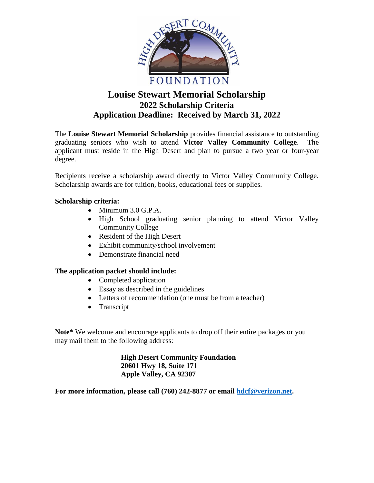

# **Louise Stewart Memorial Scholarship 2022 Scholarship Criteria Application Deadline: Received by March 31, 2022**

The **Louise Stewart Memorial Scholarship** provides financial assistance to outstanding graduating seniors who wish to attend **Victor Valley Community College**. The applicant must reside in the High Desert and plan to pursue a two year or four-year degree.

Recipients receive a scholarship award directly to Victor Valley Community College. Scholarship awards are for tuition, books, educational fees or supplies.

## **Scholarship criteria:**

- Minimum 3.0 G.P.A.
- High School graduating senior planning to attend Victor Valley Community College
- Resident of the High Desert
- Exhibit community/school involvement
- Demonstrate financial need

## **The application packet should include:**

- Completed application
- Essay as described in the guidelines
- Letters of recommendation (one must be from a teacher)
- Transcript

**Note\*** We welcome and encourage applicants to drop off their entire packages or you may mail them to the following address:

> **High Desert Community Foundation 20601 Hwy 18, Suite 171 Apple Valley, CA 92307**

**For more information, please call (760) 242-8877 or email [hdcf@verizon.net.](mailto:hdcf@verizon.net)**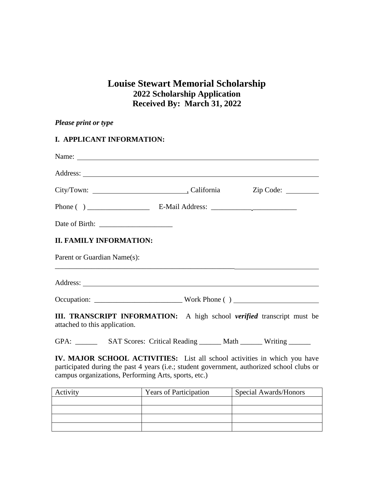## **Louise Stewart Memorial Scholarship 2022 Scholarship Application Received By: March 31, 2022**

| Please print or type                                                                                                                                                                                                                 |  |  |  |  |  |  |
|--------------------------------------------------------------------------------------------------------------------------------------------------------------------------------------------------------------------------------------|--|--|--|--|--|--|
| I. APPLICANT INFORMATION:                                                                                                                                                                                                            |  |  |  |  |  |  |
|                                                                                                                                                                                                                                      |  |  |  |  |  |  |
|                                                                                                                                                                                                                                      |  |  |  |  |  |  |
| City/Town: City/Town: California Zip Code: City/Town:                                                                                                                                                                                |  |  |  |  |  |  |
|                                                                                                                                                                                                                                      |  |  |  |  |  |  |
|                                                                                                                                                                                                                                      |  |  |  |  |  |  |
| <b>II. FAMILY INFORMATION:</b>                                                                                                                                                                                                       |  |  |  |  |  |  |
| Parent or Guardian Name(s):                                                                                                                                                                                                          |  |  |  |  |  |  |
| Address: <u>The Community of the Community of the Community of the Community of the Community of the Community of the Community of the Community of the Community of the Community of the Community of the Community of the Comm</u> |  |  |  |  |  |  |
|                                                                                                                                                                                                                                      |  |  |  |  |  |  |
| III. TRANSCRIPT INFORMATION: A high school verified transcript must be<br>attached to this application.                                                                                                                              |  |  |  |  |  |  |

GPA: \_\_\_\_\_\_\_\_ SAT Scores: Critical Reading \_\_\_\_\_\_ Math \_\_\_\_\_\_ Writing \_\_\_\_\_\_

**IV. MAJOR SCHOOL ACTIVITIES:** List all school activities in which you have participated during the past 4 years (i.e.; student government, authorized school clubs or campus organizations, Performing Arts, sports, etc.)

| Activity | <b>Years of Participation</b> | Special Awards/Honors |  |
|----------|-------------------------------|-----------------------|--|
|          |                               |                       |  |
|          |                               |                       |  |
|          |                               |                       |  |
|          |                               |                       |  |